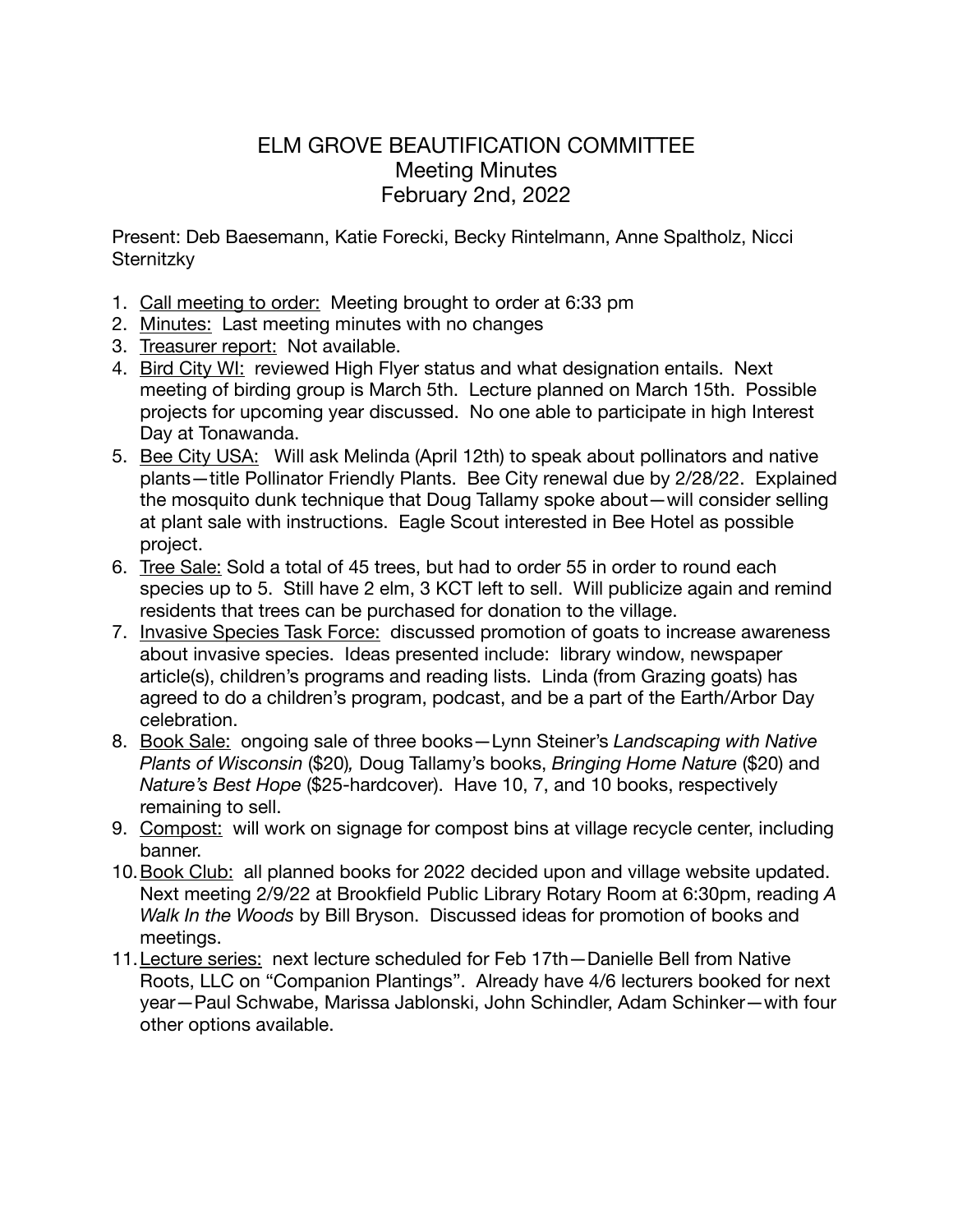## ELM GROVE BEAUTIFICATION COMMITTEE Meeting Minutes February 2nd, 2022

Present: Deb Baesemann, Katie Forecki, Becky Rintelmann, Anne Spaltholz, Nicci **Sternitzky** 

- 1. Call meeting to order: Meeting brought to order at 6:33 pm
- 2. Minutes: Last meeting minutes with no changes
- 3. Treasurer report: Not available.
- 4. Bird City WI: reviewed High Flyer status and what designation entails. Next meeting of birding group is March 5th. Lecture planned on March 15th. Possible projects for upcoming year discussed. No one able to participate in high Interest Day at Tonawanda.
- 5. Bee City USA: Will ask Melinda (April 12th) to speak about pollinators and native plants—title Pollinator Friendly Plants. Bee City renewal due by 2/28/22. Explained the mosquito dunk technique that Doug Tallamy spoke about—will consider selling at plant sale with instructions. Eagle Scout interested in Bee Hotel as possible project.
- 6. Tree Sale: Sold a total of 45 trees, but had to order 55 in order to round each species up to 5. Still have 2 elm, 3 KCT left to sell. Will publicize again and remind residents that trees can be purchased for donation to the village.
- 7. Invasive Species Task Force: discussed promotion of goats to increase awareness about invasive species. Ideas presented include: library window, newspaper article(s), children's programs and reading lists. Linda (from Grazing goats) has agreed to do a children's program, podcast, and be a part of the Earth/Arbor Day celebration.
- 8. Book Sale: ongoing sale of three books—Lynn Steiner's *Landscaping with Native Plants of Wisconsin* (\$20)*,* Doug Tallamy's books, *Bringing Home Nature* (\$20) and *Nature's Best Hope* (\$25-hardcover). Have 10, 7, and 10 books, respectively remaining to sell.
- 9. Compost: will work on signage for compost bins at village recycle center, including banner.
- 10. Book Club: all planned books for 2022 decided upon and village website updated. Next meeting 2/9/22 at Brookfield Public Library Rotary Room at 6:30pm, reading *A Walk In the Woods* by Bill Bryson. Discussed ideas for promotion of books and meetings.
- 11.Lecture series: next lecture scheduled for Feb 17th—Danielle Bell from Native Roots, LLC on "Companion Plantings". Already have 4/6 lecturers booked for next year—Paul Schwabe, Marissa Jablonski, John Schindler, Adam Schinker—with four other options available.